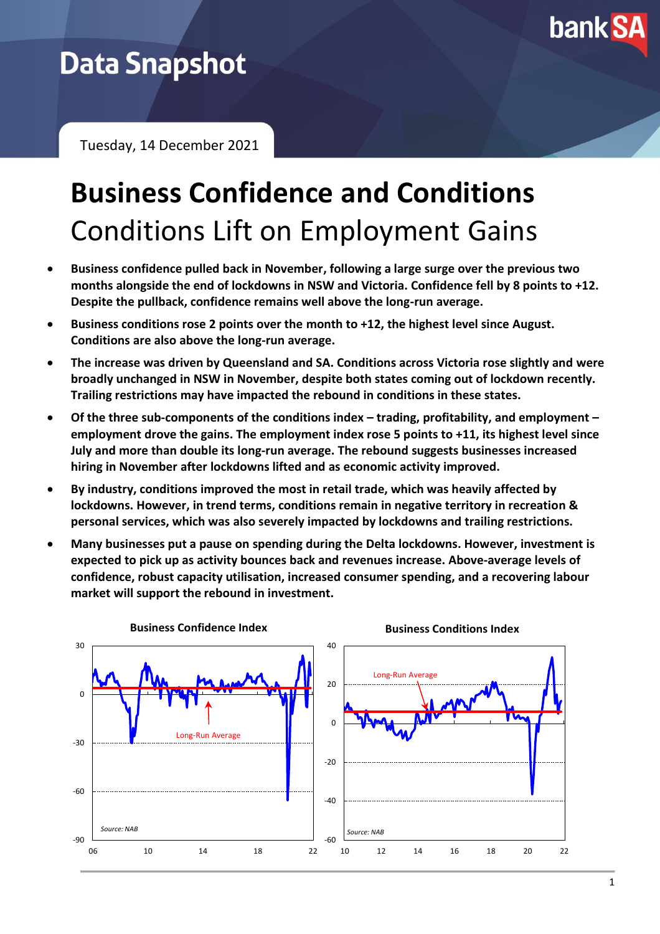

# **Data Snapshot**

Tuesday, 14 December 2021

# **Business Confidence and Conditions** Conditions Lift on Employment Gains

- **Business confidence pulled back in November, following a large surge over the previous two months alongside the end of lockdowns in NSW and Victoria. Confidence fell by 8 points to +12. Despite the pullback, confidence remains well above the long-run average.**
- **Business conditions rose 2 points over the month to +12, the highest level since August. Conditions are also above the long-run average.**
- **The increase was driven by Queensland and SA. Conditions across Victoria rose slightly and were broadly unchanged in NSW in November, despite both states coming out of lockdown recently. Trailing restrictions may have impacted the rebound in conditions in these states.**
- **Of the three sub-components of the conditions index – trading, profitability, and employment – employment drove the gains. The employment index rose 5 points to +11, its highest level since July and more than double its long-run average. The rebound suggests businesses increased hiring in November after lockdowns lifted and as economic activity improved.**
- **By industry, conditions improved the most in retail trade, which was heavily affected by lockdowns. However, in trend terms, conditions remain in negative territory in recreation & personal services, which was also severely impacted by lockdowns and trailing restrictions.**
- **Many businesses put a pause on spending during the Delta lockdowns. However, investment is expected to pick up as activity bounces back and revenues increase. Above-average levels of confidence, robust capacity utilisation, increased consumer spending, and a recovering labour market will support the rebound in investment.**

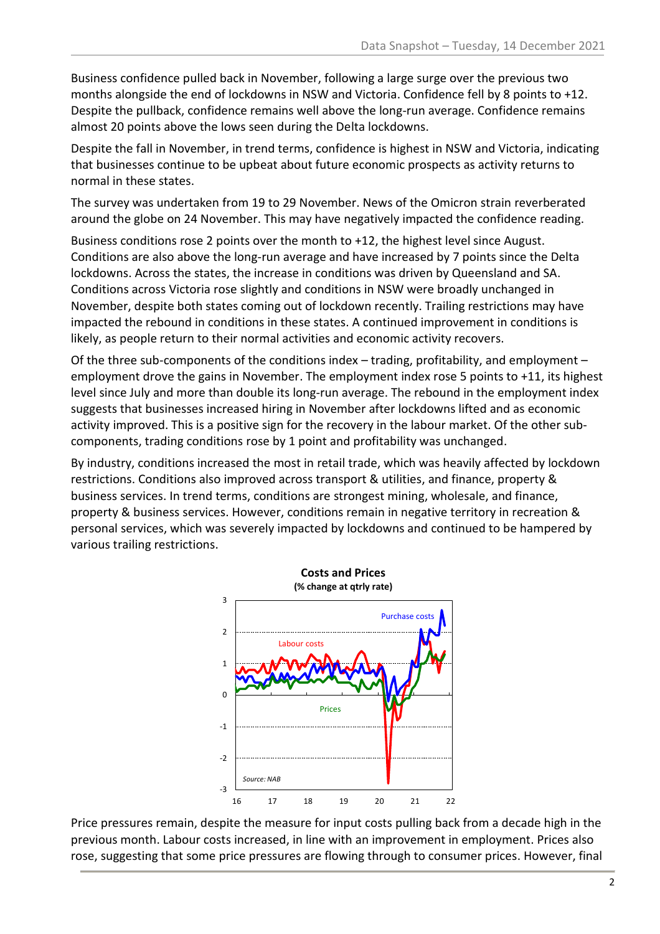Business confidence pulled back in November, following a large surge over the previous two months alongside the end of lockdowns in NSW and Victoria. Confidence fell by 8 points to +12. Despite the pullback, confidence remains well above the long-run average. Confidence remains almost 20 points above the lows seen during the Delta lockdowns.

Despite the fall in November, in trend terms, confidence is highest in NSW and Victoria, indicating that businesses continue to be upbeat about future economic prospects as activity returns to normal in these states.

The survey was undertaken from 19 to 29 November. News of the Omicron strain reverberated around the globe on 24 November. This may have negatively impacted the confidence reading.

Business conditions rose 2 points over the month to +12, the highest level since August. Conditions are also above the long-run average and have increased by 7 points since the Delta lockdowns. Across the states, the increase in conditions was driven by Queensland and SA. Conditions across Victoria rose slightly and conditions in NSW were broadly unchanged in November, despite both states coming out of lockdown recently. Trailing restrictions may have impacted the rebound in conditions in these states. A continued improvement in conditions is likely, as people return to their normal activities and economic activity recovers.

Of the three sub-components of the conditions index – trading, profitability, and employment – employment drove the gains in November. The employment index rose 5 points to +11, its highest level since July and more than double its long-run average. The rebound in the employment index suggests that businesses increased hiring in November after lockdowns lifted and as economic activity improved. This is a positive sign for the recovery in the labour market. Of the other subcomponents, trading conditions rose by 1 point and profitability was unchanged.

By industry, conditions increased the most in retail trade, which was heavily affected by lockdown restrictions. Conditions also improved across transport & utilities, and finance, property & business services. In trend terms, conditions are strongest mining, wholesale, and finance, property & business services. However, conditions remain in negative territory in recreation & personal services, which was severely impacted by lockdowns and continued to be hampered by various trailing restrictions.



Price pressures remain, despite the measure for input costs pulling back from a decade high in the previous month. Labour costs increased, in line with an improvement in employment. Prices also rose, suggesting that some price pressures are flowing through to consumer prices. However, final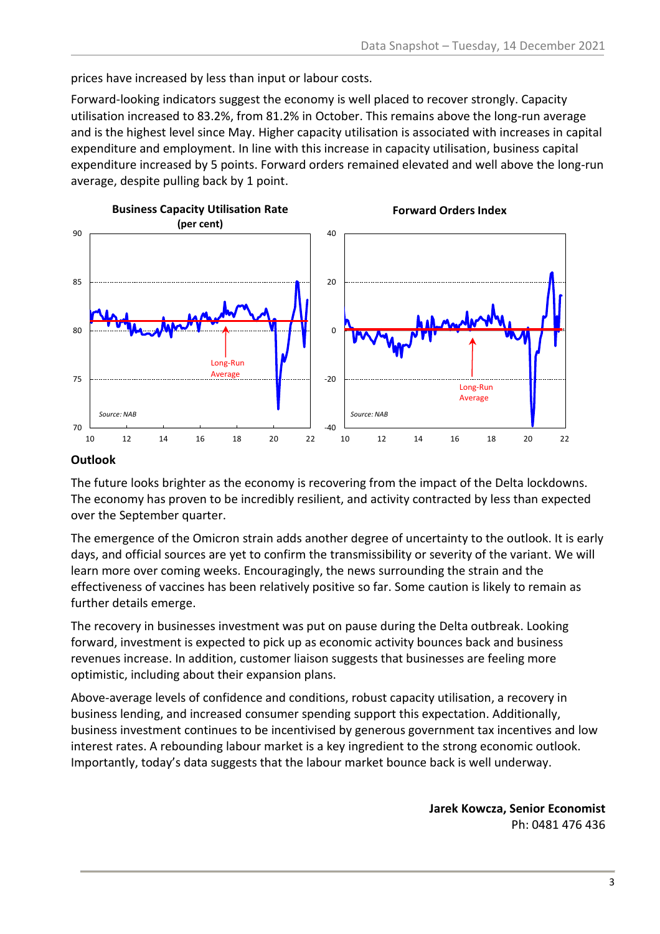prices have increased by less than input or labour costs.

Forward-looking indicators suggest the economy is well placed to recover strongly. Capacity utilisation increased to 83.2%, from 81.2% in October. This remains above the long-run average and is the highest level since May. Higher capacity utilisation is associated with increases in capital expenditure and employment. In line with this increase in capacity utilisation, business capital expenditure increased by 5 points. Forward orders remained elevated and well above the long-run average, despite pulling back by 1 point.



## **Outlook**

The future looks brighter as the economy is recovering from the impact of the Delta lockdowns. The economy has proven to be incredibly resilient, and activity contracted by less than expected over the September quarter.

The emergence of the Omicron strain adds another degree of uncertainty to the outlook. It is early days, and official sources are yet to confirm the transmissibility or severity of the variant. We will learn more over coming weeks. Encouragingly, the news surrounding the strain and the effectiveness of vaccines has been relatively positive so far. Some caution is likely to remain as further details emerge.

The recovery in businesses investment was put on pause during the Delta outbreak. Looking forward, investment is expected to pick up as economic activity bounces back and business revenues increase. In addition, customer liaison suggests that businesses are feeling more optimistic, including about their expansion plans.

Above-average levels of confidence and conditions, robust capacity utilisation, a recovery in business lending, and increased consumer spending support this expectation. Additionally, business investment continues to be incentivised by generous government tax incentives and low interest rates. A rebounding labour market is a key ingredient to the strong economic outlook. Importantly, today's data suggests that the labour market bounce back is well underway.

> **Jarek Kowcza, Senior Economist** Ph: 0481 476 436